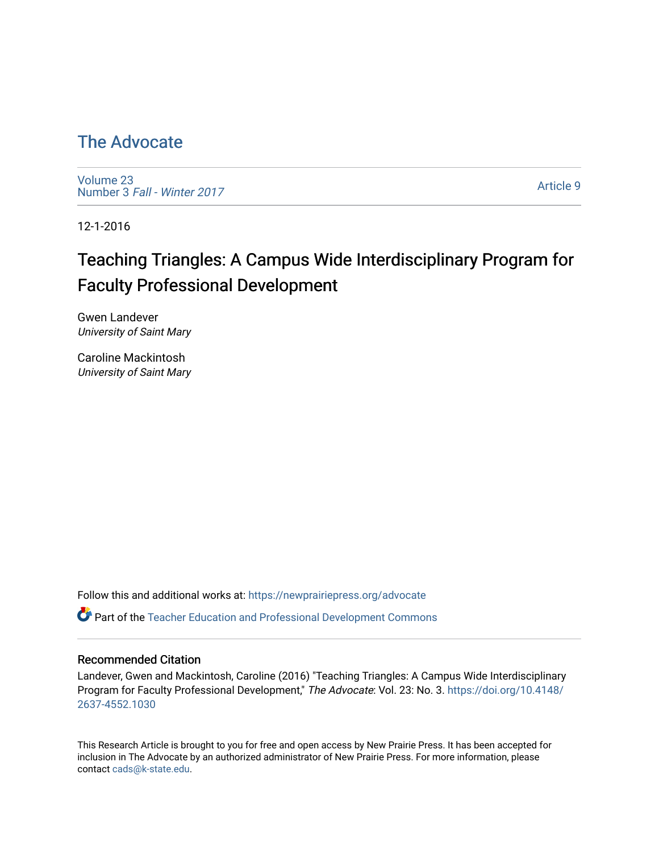## [The Advocate](https://newprairiepress.org/advocate)

[Volume 23](https://newprairiepress.org/advocate/vol23) Number 3 [Fall - Winter 2017](https://newprairiepress.org/advocate/vol23/iss3) 

[Article 9](https://newprairiepress.org/advocate/vol23/iss3/9) 

12-1-2016

# Teaching Triangles: A Campus Wide Interdisciplinary Program for Faculty Professional Development

Gwen Landever University of Saint Mary

Caroline Mackintosh University of Saint Mary

Follow this and additional works at: [https://newprairiepress.org/advocate](https://newprairiepress.org/advocate?utm_source=newprairiepress.org%2Fadvocate%2Fvol23%2Fiss3%2F9&utm_medium=PDF&utm_campaign=PDFCoverPages) 

Part of the [Teacher Education and Professional Development Commons](http://network.bepress.com/hgg/discipline/803?utm_source=newprairiepress.org%2Fadvocate%2Fvol23%2Fiss3%2F9&utm_medium=PDF&utm_campaign=PDFCoverPages) 

#### Recommended Citation

Landever, Gwen and Mackintosh, Caroline (2016) "Teaching Triangles: A Campus Wide Interdisciplinary Program for Faculty Professional Development," The Advocate: Vol. 23: No. 3. [https://doi.org/10.4148/](https://doi.org/10.4148/2637-4552.1030) [2637-4552.1030](https://doi.org/10.4148/2637-4552.1030) 

This Research Article is brought to you for free and open access by New Prairie Press. It has been accepted for inclusion in The Advocate by an authorized administrator of New Prairie Press. For more information, please contact [cads@k-state.edu](mailto:cads@k-state.edu).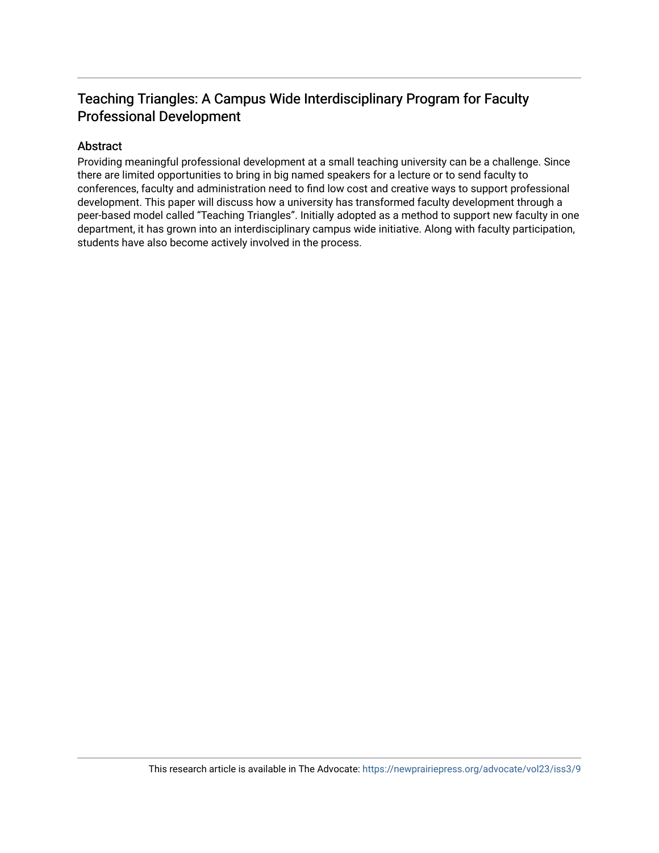## Teaching Triangles: A Campus Wide Interdisciplinary Program for Faculty Professional Development

#### Abstract

Providing meaningful professional development at a small teaching university can be a challenge. Since there are limited opportunities to bring in big named speakers for a lecture or to send faculty to conferences, faculty and administration need to find low cost and creative ways to support professional development. This paper will discuss how a university has transformed faculty development through a peer-based model called "Teaching Triangles". Initially adopted as a method to support new faculty in one department, it has grown into an interdisciplinary campus wide initiative. Along with faculty participation, students have also become actively involved in the process.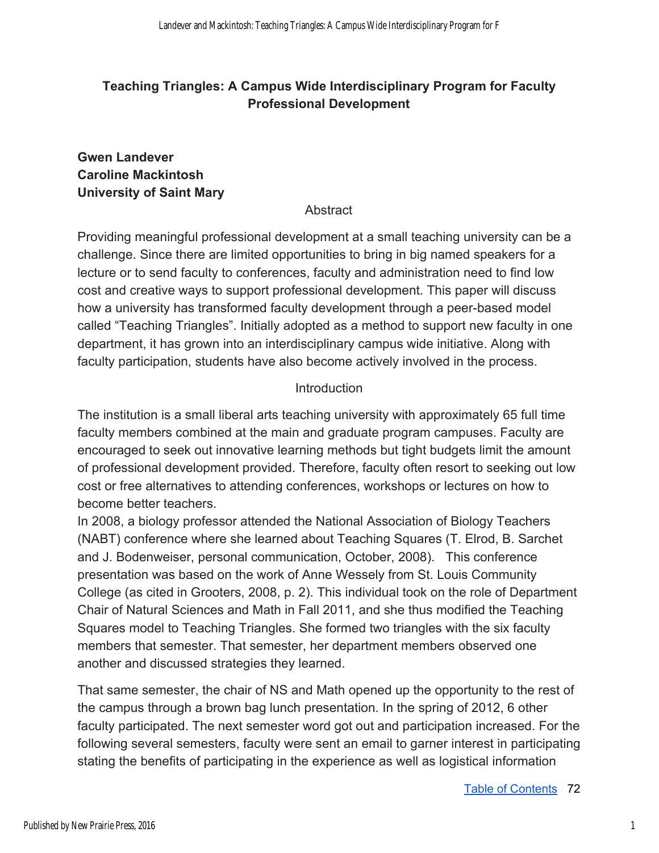## **Teaching Triangles: A Campus Wide Interdisciplinary Program for Faculty Professional Development**

### **Gwen Landever Caroline Mackintosh University of Saint Mary**

**Abstract** 

Providing meaningful professional development at a small teaching university can be a challenge. Since there are limited opportunities to bring in big named speakers for a lecture or to send faculty to conferences, faculty and administration need to find low cost and creative ways to support professional development. This paper will discuss how a university has transformed faculty development through a peer-based model called "Teaching Triangles". Initially adopted as a method to support new faculty in one department, it has grown into an interdisciplinary campus wide initiative. Along with faculty participation, students have also become actively involved in the process.

### **Introduction**

The institution is a small liberal arts teaching university with approximately 65 full time faculty members combined at the main and graduate program campuses. Faculty are encouraged to seek out innovative learning methods but tight budgets limit the amount of professional development provided. Therefore, faculty often resort to seeking out low cost or free alternatives to attending conferences, workshops or lectures on how to become better teachers.

In 2008, a biology professor attended the National Association of Biology Teachers (NABT) conference where she learned about Teaching Squares (T. Elrod, B. Sarchet and J. Bodenweiser, personal communication, October, 2008). This conference presentation was based on the work of Anne Wessely from St. Louis Community College (as cited in Grooters, 2008, p. 2). This individual took on the role of Department Chair of Natural Sciences and Math in Fall 2011, and she thus modified the Teaching Squares model to Teaching Triangles. She formed two triangles with the six faculty members that semester. That semester, her department members observed one another and discussed strategies they learned.

That same semester, the chair of NS and Math opened up the opportunity to the rest of the campus through a brown bag lunch presentation. In the spring of 2012, 6 other faculty participated. The next semester word got out and participation increased. For the following several semesters, faculty were sent an email to garner interest in participating stating the benefits of participating in the experience as well as logistical information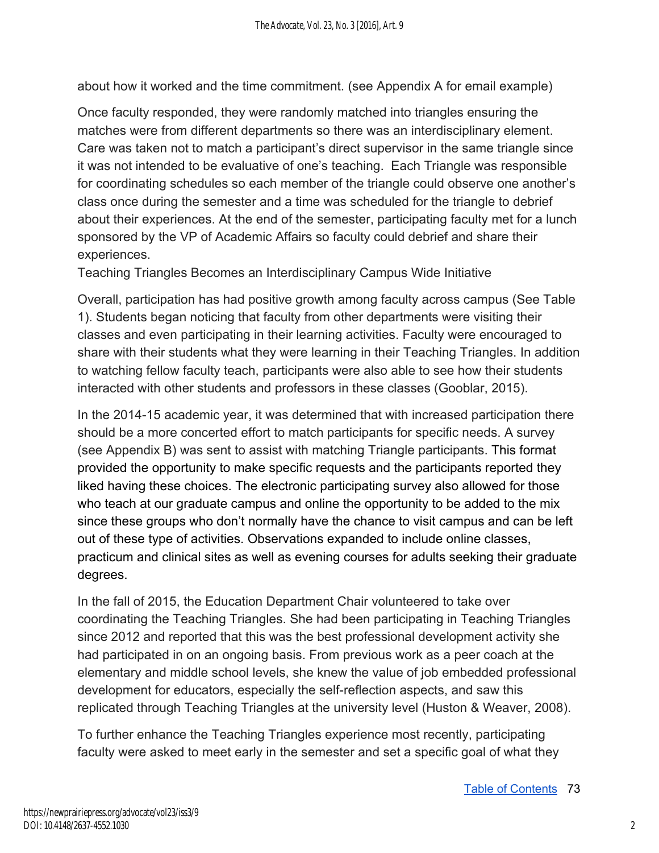about how it worked and the time commitment. (see Appendix A for email example)

Once faculty responded, they were randomly matched into triangles ensuring the matches were from different departments so there was an interdisciplinary element. Care was taken not to match a participant's direct supervisor in the same triangle since it was not intended to be evaluative of one's teaching. Each Triangle was responsible for coordinating schedules so each member of the triangle could observe one another's class once during the semester and a time was scheduled for the triangle to debrief about their experiences. At the end of the semester, participating faculty met for a lunch sponsored by the VP of Academic Affairs so faculty could debrief and share their experiences.

Teaching Triangles Becomes an Interdisciplinary Campus Wide Initiative

Overall, participation has had positive growth among faculty across campus (See Table 1). Students began noticing that faculty from other departments were visiting their classes and even participating in their learning activities. Faculty were encouraged to share with their students what they were learning in their Teaching Triangles. In addition to watching fellow faculty teach, participants were also able to see how their students interacted with other students and professors in these classes (Gooblar, 2015).

In the 2014-15 academic year, it was determined that with increased participation there should be a more concerted effort to match participants for specific needs. A survey (see Appendix B) was sent to assist with matching Triangle participants. This format provided the opportunity to make specific requests and the participants reported they liked having these choices. The electronic participating survey also allowed for those who teach at our graduate campus and online the opportunity to be added to the mix since these groups who don't normally have the chance to visit campus and can be left out of these type of activities. Observations expanded to include online classes, practicum and clinical sites as well as evening courses for adults seeking their graduate degrees.

In the fall of 2015, the Education Department Chair volunteered to take over coordinating the Teaching Triangles. She had been participating in Teaching Triangles since 2012 and reported that this was the best professional development activity she had participated in on an ongoing basis. From previous work as a peer coach at the elementary and middle school levels, she knew the value of job embedded professional development for educators, especially the self-reflection aspects, and saw this replicated through Teaching Triangles at the university level (Huston & Weaver, 2008).

To further enhance the Teaching Triangles experience most recently, participating faculty were asked to meet early in the semester and set a specific goal of what they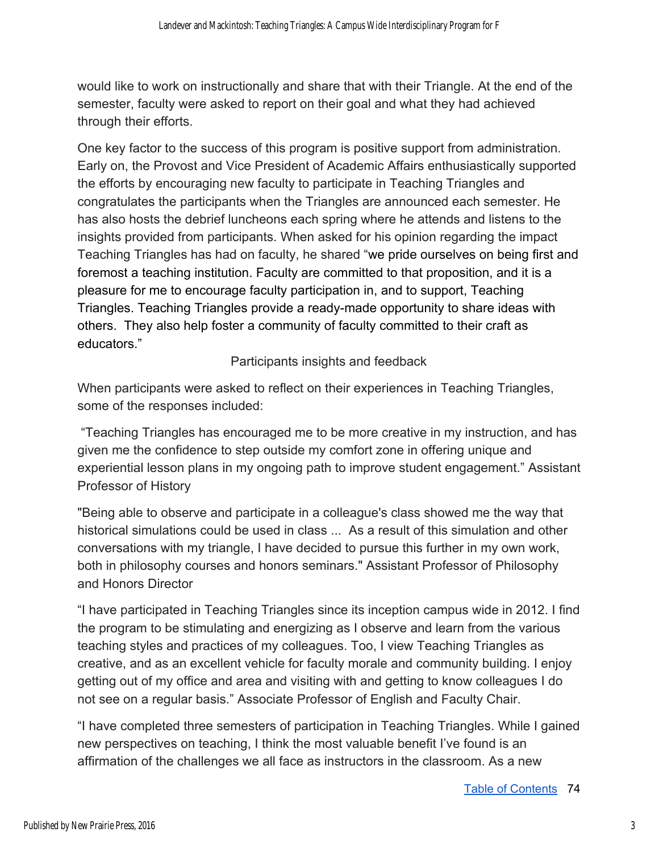would like to work on instructionally and share that with their Triangle. At the end of the semester, faculty were asked to report on their goal and what they had achieved through their efforts.

One key factor to the success of this program is positive support from administration. Early on, the Provost and Vice President of Academic Affairs enthusiastically supported the efforts by encouraging new faculty to participate in Teaching Triangles and congratulates the participants when the Triangles are announced each semester. He has also hosts the debrief luncheons each spring where he attends and listens to the insights provided from participants. When asked for his opinion regarding the impact Teaching Triangles has had on faculty, he shared "we pride ourselves on being first and foremost a teaching institution. Faculty are committed to that proposition, and it is a pleasure for me to encourage faculty participation in, and to support, Teaching Triangles. Teaching Triangles provide a ready-made opportunity to share ideas with others. They also help foster a community of faculty committed to their craft as educators."

Participants insights and feedback

When participants were asked to reflect on their experiences in Teaching Triangles, some of the responses included:

 "Teaching Triangles has encouraged me to be more creative in my instruction, and has given me the confidence to step outside my comfort zone in offering unique and experiential lesson plans in my ongoing path to improve student engagement." Assistant Professor of History

"Being able to observe and participate in a colleague's class showed me the way that historical simulations could be used in class ... As a result of this simulation and other conversations with my triangle, I have decided to pursue this further in my own work, both in philosophy courses and honors seminars." Assistant Professor of Philosophy and Honors Director

"I have participated in Teaching Triangles since its inception campus wide in 2012. I find the program to be stimulating and energizing as I observe and learn from the various teaching styles and practices of my colleagues. Too, I view Teaching Triangles as creative, and as an excellent vehicle for faculty morale and community building. I enjoy getting out of my office and area and visiting with and getting to know colleagues I do not see on a regular basis." Associate Professor of English and Faculty Chair.

"I have completed three semesters of participation in Teaching Triangles. While I gained new perspectives on teaching, I think the most valuable benefit I've found is an affirmation of the challenges we all face as instructors in the classroom. As a new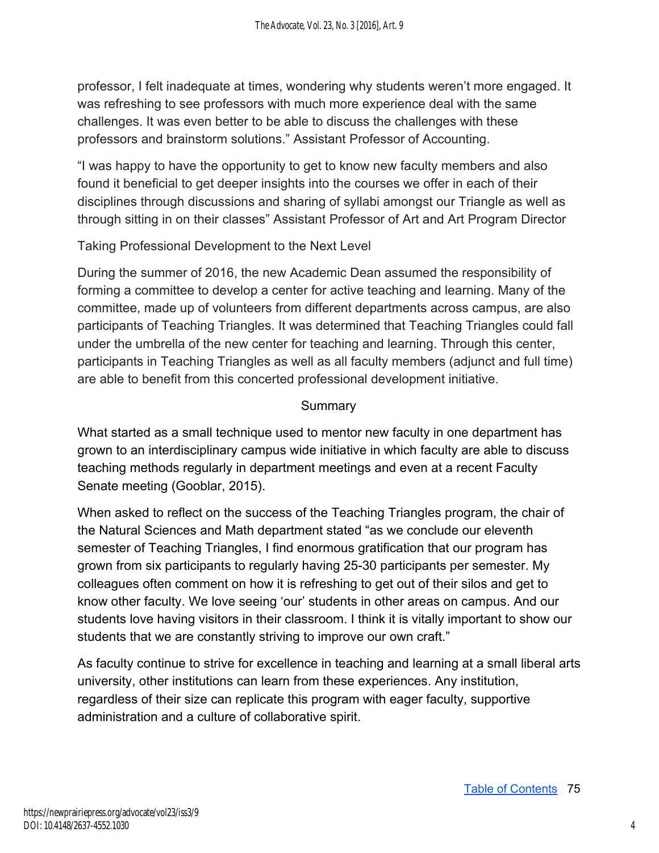professor, I felt inadequate at times, wondering why students weren't more engaged. It was refreshing to see professors with much more experience deal with the same challenges. It was even better to be able to discuss the challenges with these professors and brainstorm solutions." Assistant Professor of Accounting.

"I was happy to have the opportunity to get to know new faculty members and also found it beneficial to get deeper insights into the courses we offer in each of their disciplines through discussions and sharing of syllabi amongst our Triangle as well as through sitting in on their classes" Assistant Professor of Art and Art Program Director

Taking Professional Development to the Next Level

During the summer of 2016, the new Academic Dean assumed the responsibility of forming a committee to develop a center for active teaching and learning. Many of the committee, made up of volunteers from different departments across campus, are also participants of Teaching Triangles. It was determined that Teaching Triangles could fall under the umbrella of the new center for teaching and learning. Through this center, participants in Teaching Triangles as well as all faculty members (adjunct and full time) are able to benefit from this concerted professional development initiative.

### **Summary**

What started as a small technique used to mentor new faculty in one department has grown to an interdisciplinary campus wide initiative in which faculty are able to discuss teaching methods regularly in department meetings and even at a recent Faculty Senate meeting (Gooblar, 2015).

When asked to reflect on the success of the Teaching Triangles program, the chair of the Natural Sciences and Math department stated "as we conclude our eleventh semester of Teaching Triangles, I find enormous gratification that our program has grown from six participants to regularly having 25-30 participants per semester. My colleagues often comment on how it is refreshing to get out of their silos and get to know other faculty. We love seeing 'our' students in other areas on campus. And our students love having visitors in their classroom. I think it is vitally important to show our students that we are constantly striving to improve our own craft."

As faculty continue to strive for excellence in teaching and learning at a small liberal arts university, other institutions can learn from these experiences. Any institution, regardless of their size can replicate this program with eager faculty, supportive administration and a culture of collaborative spirit.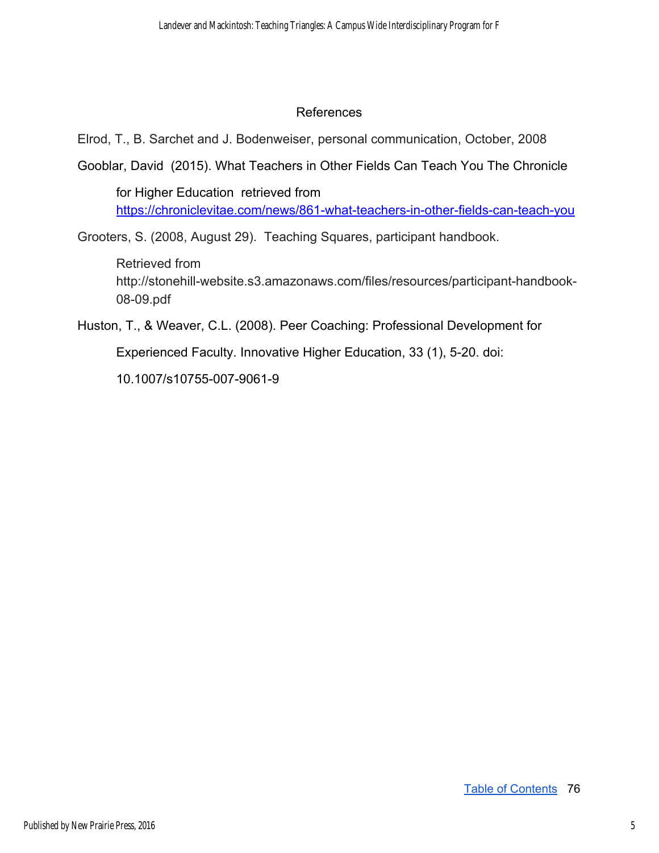#### References

Elrod, T., B. Sarchet and J. Bodenweiser, personal communication, October, 2008

Gooblar, David (2015). What Teachers in Other Fields Can Teach You The Chronicle

for Higher Education retrieved from <https://chroniclevitae.com/news/861-what-teachers-in-other-fields-can-teach-you>

Grooters, S. (2008, August 29). Teaching Squares, participant handbook.

Retrieved from http://stonehill-website.s3.amazonaws.com/files/resources/participant-handbook-08-09.pdf

Huston, T., & Weaver, C.L. (2008). Peer Coaching: Professional Development for

Experienced Faculty. Innovative Higher Education, 33 (1), 5-20. doi:

10.1007/s10755-007-9061-9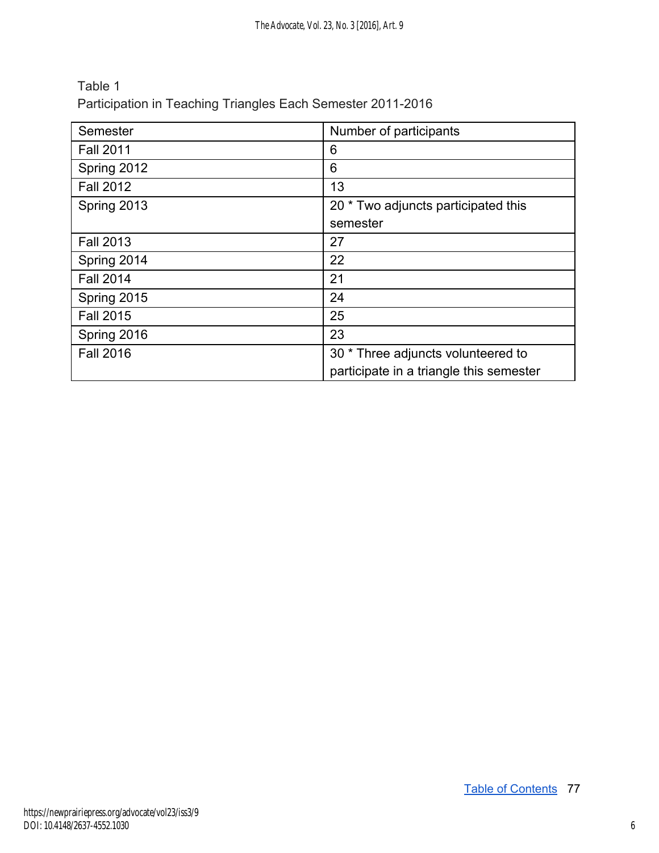| Table 1                                                     |
|-------------------------------------------------------------|
| Participation in Teaching Triangles Each Semester 2011-2016 |

| Semester         | Number of participants                  |
|------------------|-----------------------------------------|
| <b>Fall 2011</b> | 6                                       |
| Spring 2012      | 6                                       |
| <b>Fall 2012</b> | 13                                      |
| Spring 2013      | 20 * Two adjuncts participated this     |
|                  | semester                                |
| <b>Fall 2013</b> | 27                                      |
| Spring 2014      | 22                                      |
| <b>Fall 2014</b> | 21                                      |
| Spring 2015      | 24                                      |
| <b>Fall 2015</b> | 25                                      |
| Spring 2016      | 23                                      |
| <b>Fall 2016</b> | 30 * Three adjuncts volunteered to      |
|                  | participate in a triangle this semester |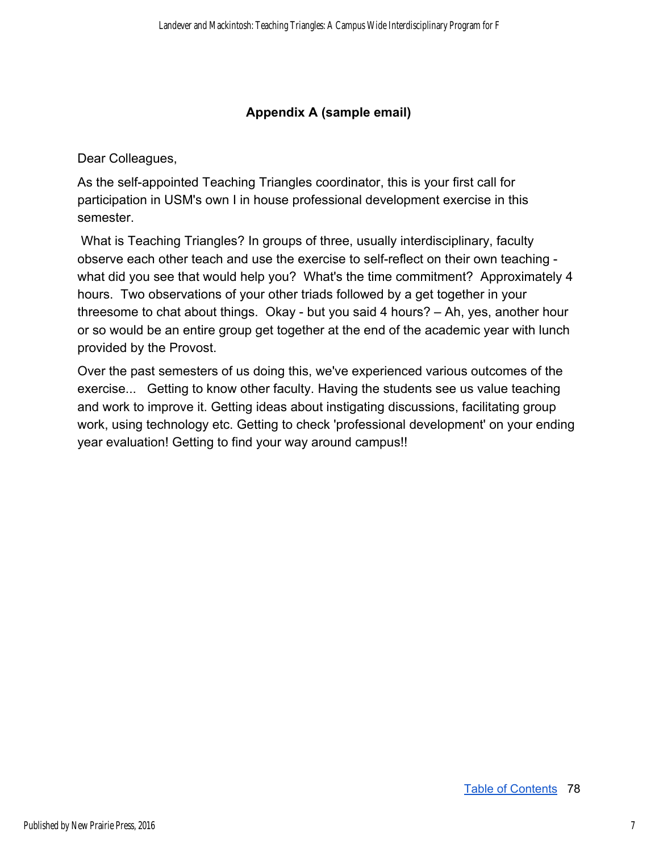#### **Appendix A (sample email)**

Dear Colleagues,

As the self-appointed Teaching Triangles coordinator, this is your first call for participation in USM's own I in house professional development exercise in this semester.

 What is Teaching Triangles? In groups of three, usually interdisciplinary, faculty observe each other teach and use the exercise to self-reflect on their own teaching what did you see that would help you? What's the time commitment? Approximately 4 hours. Two observations of your other triads followed by a get together in your threesome to chat about things. Okay - but you said 4 hours? – Ah, yes, another hour or so would be an entire group get together at the end of the academic year with lunch provided by the Provost.

Over the past semesters of us doing this, we've experienced various outcomes of the exercise... Getting to know other faculty. Having the students see us value teaching and work to improve it. Getting ideas about instigating discussions, facilitating group work, using technology etc. Getting to check 'professional development' on your ending year evaluation! Getting to find your way around campus!!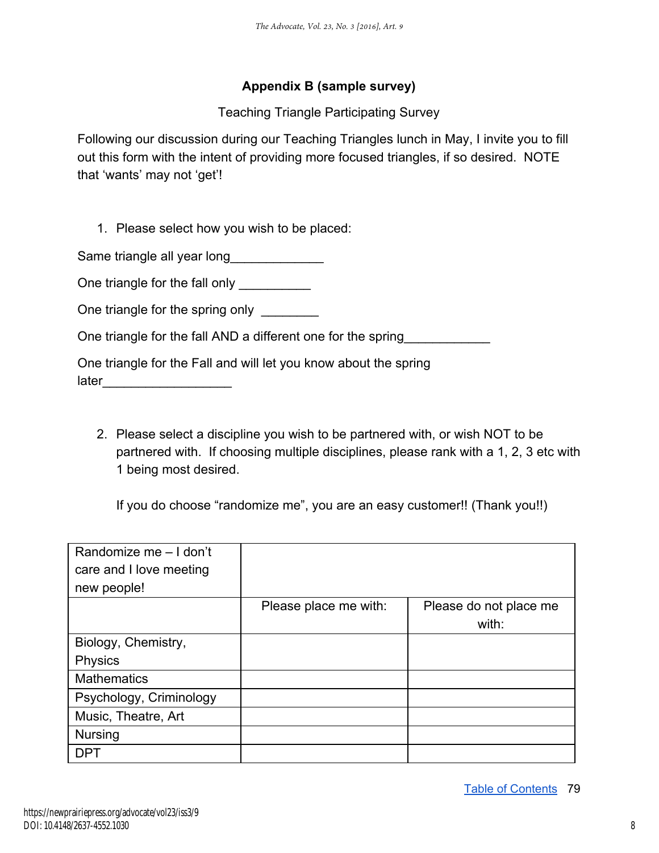#### **Appendix B (sample survey)**

Teaching Triangle Participating Survey

Following our discussion during our Teaching Triangles lunch in May, I invite you to fill out this form with the intent of providing more focused triangles, if so desired. NOTE that 'wants' may not 'get'!

1. Please select how you wish to be placed:

Same triangle all year long

One triangle for the fall only \_\_\_\_\_\_\_\_\_\_

One triangle for the spring only

One triangle for the fall AND a different one for the spring

One triangle for the Fall and will let you know about the spring later\_\_\_\_\_\_\_\_\_\_\_\_\_\_\_\_\_\_

2. Please select a discipline you wish to be partnered with, or wish NOT to be partnered with. If choosing multiple disciplines, please rank with a 1, 2, 3 etc with 1 being most desired.

If you do choose "randomize me", you are an easy customer!! (Thank you!!)

| Randomize me - I don't  |                       |                                 |
|-------------------------|-----------------------|---------------------------------|
| care and I love meeting |                       |                                 |
| new people!             |                       |                                 |
|                         | Please place me with: | Please do not place me<br>with: |
| Biology, Chemistry,     |                       |                                 |
| <b>Physics</b>          |                       |                                 |
| <b>Mathematics</b>      |                       |                                 |
| Psychology, Criminology |                       |                                 |
| Music, Theatre, Art     |                       |                                 |
| <b>Nursing</b>          |                       |                                 |
| <b>DPT</b>              |                       |                                 |

Table of Contents 79